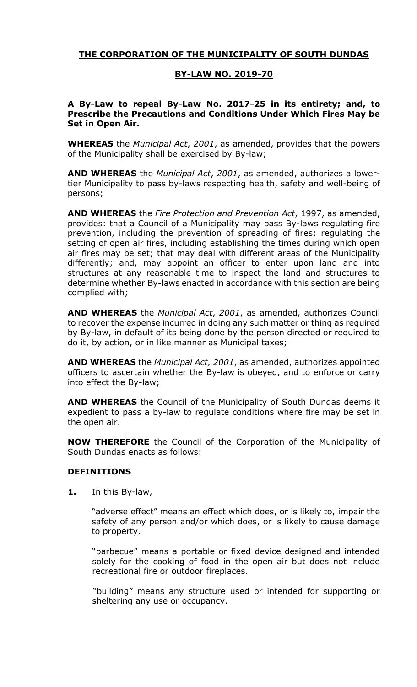# **THE CORPORATION OF THE MUNICIPALITY OF SOUTH DUNDAS**

#### **BY-LAW NO. 2019-70**

#### **A By-Law to repeal By-Law No. 2017-25 in its entirety; and, to Prescribe the Precautions and Conditions Under Which Fires May be Set in Open Air.**

**WHEREAS** the *Municipal Act*, *2001*, as amended, provides that the powers of the Municipality shall be exercised by By-law;

**AND WHEREAS** the *Municipal Act*, *2001*, as amended, authorizes a lowertier Municipality to pass by-laws respecting health, safety and well-being of persons;

**AND WHEREAS** the *Fire Protection and Prevention Act*, 1997, as amended, provides: that a Council of a Municipality may pass By-laws regulating fire prevention, including the prevention of spreading of fires; regulating the setting of open air fires, including establishing the times during which open air fires may be set; that may deal with different areas of the Municipality differently; and, may appoint an officer to enter upon land and into structures at any reasonable time to inspect the land and structures to determine whether By-laws enacted in accordance with this section are being complied with;

**AND WHEREAS** the *Municipal Act*, *2001*, as amended, authorizes Council to recover the expense incurred in doing any such matter or thing as required by By-law, in default of its being done by the person directed or required to do it, by action, or in like manner as Municipal taxes;

**AND WHEREAS** the *Municipal Act, 2001*, as amended, authorizes appointed officers to ascertain whether the By-law is obeyed, and to enforce or carry into effect the By-law;

**AND WHEREAS** the Council of the Municipality of South Dundas deems it expedient to pass a by-law to regulate conditions where fire may be set in the open air.

**NOW THEREFORE** the Council of the Corporation of the Municipality of South Dundas enacts as follows:

## **DEFINITIONS**

**1.** In this By-law,

"adverse effect" means an effect which does, or is likely to, impair the safety of any person and/or which does, or is likely to cause damage to property.

"barbecue" means a portable or fixed device designed and intended solely for the cooking of food in the open air but does not include recreational fire or outdoor fireplaces.

"building" means any structure used or intended for supporting or sheltering any use or occupancy.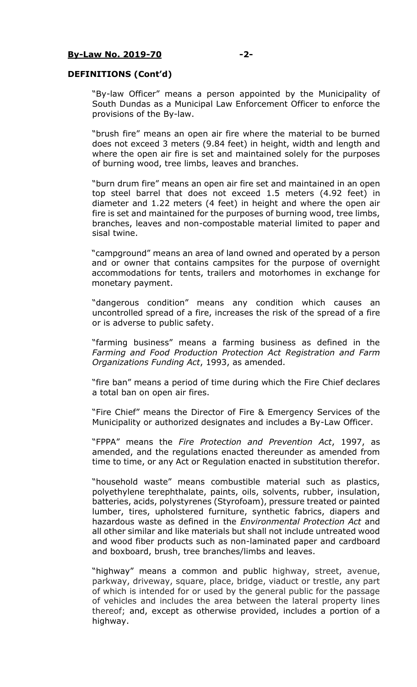## **DEFINITIONS (Cont'd)**

"By-law Officer" means a person appointed by the Municipality of South Dundas as a Municipal Law Enforcement Officer to enforce the provisions of the By-law.

"brush fire" means an open air fire where the material to be burned does not exceed 3 meters (9.84 feet) in height, width and length and where the open air fire is set and maintained solely for the purposes of burning wood, tree limbs, leaves and branches.

"burn drum fire" means an open air fire set and maintained in an open top steel barrel that does not exceed 1.5 meters (4.92 feet) in diameter and 1.22 meters (4 feet) in height and where the open air fire is set and maintained for the purposes of burning wood, tree limbs, branches, leaves and non-compostable material limited to paper and sisal twine.

"campground" means an area of land owned and operated by a person and or owner that contains campsites for the purpose of overnight accommodations for tents, trailers and motorhomes in exchange for monetary payment.

"dangerous condition" means any condition which causes an uncontrolled spread of a fire, increases the risk of the spread of a fire or is adverse to public safety.

"farming business" means a farming business as defined in the *Farming and Food Production Protection Act Registration and Farm Organizations Funding Act*, 1993, as amended.

"fire ban" means a period of time during which the Fire Chief declares a total ban on open air fires.

"Fire Chief" means the Director of Fire & Emergency Services of the Municipality or authorized designates and includes a By-Law Officer.

"FPPA" means the *Fire Protection and Prevention Act*, 1997, as amended, and the regulations enacted thereunder as amended from time to time, or any Act or Regulation enacted in substitution therefor.

"household waste" means combustible material such as plastics, polyethylene terephthalate, paints, oils, solvents, rubber, insulation, batteries, acids, polystyrenes (Styrofoam), pressure treated or painted lumber, tires, upholstered furniture, synthetic fabrics, diapers and hazardous waste as defined in the *Environmental Protection Act* and all other similar and like materials but shall not include untreated wood and wood fiber products such as non-laminated paper and cardboard and boxboard, brush, tree branches/limbs and leaves.

"highway" means a common and public highway, street, avenue, parkway, driveway, square, place, bridge, viaduct or trestle, any part of which is intended for or used by the general public for the passage of vehicles and includes the area between the lateral property lines thereof; and, except as otherwise provided, includes a portion of a highway.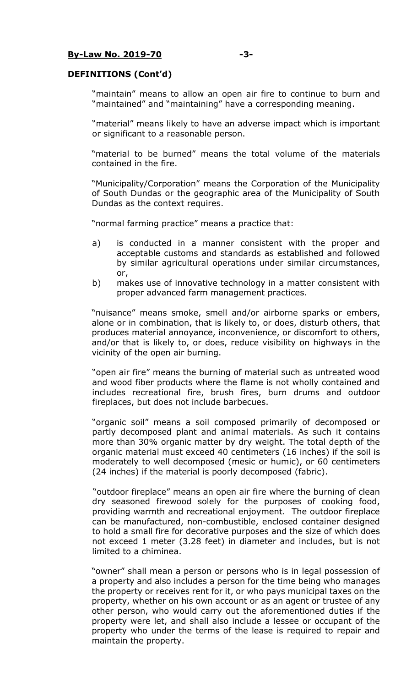#### **By-Law No. 2019-70 -3-**

#### **DEFINITIONS (Cont'd)**

"maintain" means to allow an open air fire to continue to burn and "maintained" and "maintaining" have a corresponding meaning.

"material" means likely to have an adverse impact which is important or significant to a reasonable person.

"material to be burned" means the total volume of the materials contained in the fire.

"Municipality/Corporation" means the Corporation of the Municipality of South Dundas or the geographic area of the Municipality of South Dundas as the context requires.

"normal farming practice" means a practice that:

- a) is conducted in a manner consistent with the proper and acceptable customs and standards as established and followed by similar agricultural operations under similar circumstances, or,
- b) makes use of innovative technology in a matter consistent with proper advanced farm management practices.

"nuisance" means smoke, smell and/or airborne sparks or embers, alone or in combination, that is likely to, or does, disturb others, that produces material annoyance, inconvenience, or discomfort to others, and/or that is likely to, or does, reduce visibility on highways in the vicinity of the open air burning.

"open air fire" means the burning of material such as untreated wood and wood fiber products where the flame is not wholly contained and includes recreational fire, brush fires, burn drums and outdoor fireplaces, but does not include barbecues.

"organic soil" means a soil composed primarily of decomposed or partly decomposed plant and animal materials. As such it contains more than 30% organic matter by dry weight. The total depth of the organic material must exceed 40 centimeters (16 inches) if the soil is moderately to well decomposed (mesic or humic), or 60 centimeters (24 inches) if the material is poorly decomposed (fabric).

"outdoor fireplace" means an open air fire where the burning of clean dry seasoned firewood solely for the purposes of cooking food, providing warmth and recreational enjoyment. The outdoor fireplace can be manufactured, non-combustible, enclosed container designed to hold a small fire for decorative purposes and the size of which does not exceed 1 meter (3.28 feet) in diameter and includes, but is not limited to a chiminea.

"owner" shall mean a person or persons who is in legal possession of a property and also includes a person for the time being who manages the property or receives rent for it, or who pays municipal taxes on the property, whether on his own account or as an agent or trustee of any other person, who would carry out the aforementioned duties if the property were let, and shall also include a lessee or occupant of the property who under the terms of the lease is required to repair and maintain the property.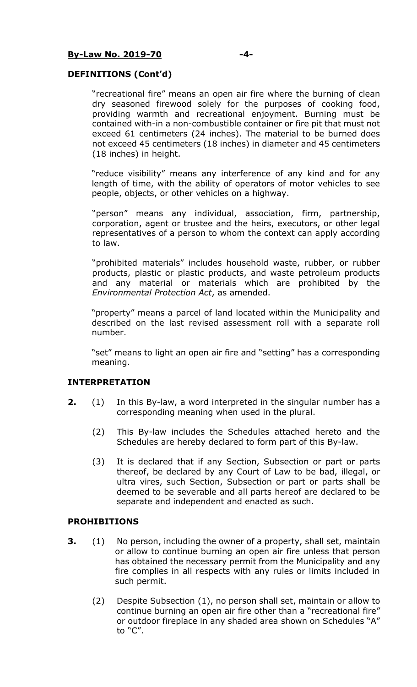## **DEFINITIONS (Cont'd)**

"recreational fire" means an open air fire where the burning of clean dry seasoned firewood solely for the purposes of cooking food, providing warmth and recreational enjoyment. Burning must be contained with-in a non-combustible container or fire pit that must not exceed 61 centimeters (24 inches). The material to be burned does not exceed 45 centimeters (18 inches) in diameter and 45 centimeters (18 inches) in height.

"reduce visibility" means any interference of any kind and for any length of time, with the ability of operators of motor vehicles to see people, objects, or other vehicles on a highway.

"person" means any individual, association, firm, partnership, corporation, agent or trustee and the heirs, executors, or other legal representatives of a person to whom the context can apply according to law.

"prohibited materials" includes household waste, rubber, or rubber products, plastic or plastic products, and waste petroleum products and any material or materials which are prohibited by the *Environmental Protection Act*, as amended.

"property" means a parcel of land located within the Municipality and described on the last revised assessment roll with a separate roll number.

"set" means to light an open air fire and "setting" has a corresponding meaning.

## **INTERPRETATION**

- **2.** (1) In this By-law, a word interpreted in the singular number has a corresponding meaning when used in the plural.
	- (2) This By-law includes the Schedules attached hereto and the Schedules are hereby declared to form part of this By-law.
	- (3) It is declared that if any Section, Subsection or part or parts thereof, be declared by any Court of Law to be bad, illegal, or ultra vires, such Section, Subsection or part or parts shall be deemed to be severable and all parts hereof are declared to be separate and independent and enacted as such.

#### **PROHIBITIONS**

- **3.** (1) No person, including the owner of a property, shall set, maintain or allow to continue burning an open air fire unless that person has obtained the necessary permit from the Municipality and any fire complies in all respects with any rules or limits included in such permit.
	- (2) Despite Subsection (1), no person shall set, maintain or allow to continue burning an open air fire other than a "recreational fire" or outdoor fireplace in any shaded area shown on Schedules "A" to "C".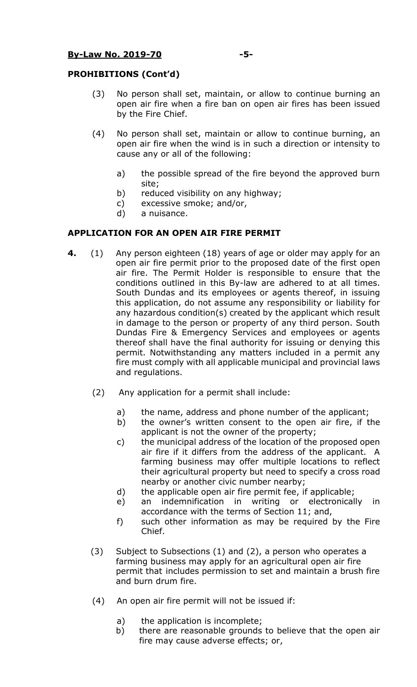## **PROHIBITIONS (Cont'd)**

- (3) No person shall set, maintain, or allow to continue burning an open air fire when a fire ban on open air fires has been issued by the Fire Chief.
- (4) No person shall set, maintain or allow to continue burning, an open air fire when the wind is in such a direction or intensity to cause any or all of the following:
	- a) the possible spread of the fire beyond the approved burn site;
	- b) reduced visibility on any highway;
	- c) excessive smoke; and/or,
	- d) a nuisance.

## **APPLICATION FOR AN OPEN AIR FIRE PERMIT**

- **4.** (1) Any person eighteen (18) years of age or older may apply for an open air fire permit prior to the proposed date of the first open air fire. The Permit Holder is responsible to ensure that the conditions outlined in this By-law are adhered to at all times. South Dundas and its employees or agents thereof, in issuing this application, do not assume any responsibility or liability for any hazardous condition(s) created by the applicant which result in damage to the person or property of any third person. South Dundas Fire & Emergency Services and employees or agents thereof shall have the final authority for issuing or denying this permit. Notwithstanding any matters included in a permit any fire must comply with all applicable municipal and provincial laws and regulations.
	- (2) Any application for a permit shall include:
		- a) the name, address and phone number of the applicant;
		- b) the owner's written consent to the open air fire, if the applicant is not the owner of the property;
		- c) the municipal address of the location of the proposed open air fire if it differs from the address of the applicant. A farming business may offer multiple locations to reflect their agricultural property but need to specify a cross road nearby or another civic number nearby;
		- d) the applicable open air fire permit fee, if applicable;
		- e) an indemnification in writing or electronically in accordance with the terms of Section 11; and,
		- f) such other information as may be required by the Fire Chief.
	- (3) Subject to Subsections (1) and (2), a person who operates a farming business may apply for an agricultural open air fire permit that includes permission to set and maintain a brush fire and burn drum fire.
	- (4) An open air fire permit will not be issued if:
		- a) the application is incomplete;
		- b) there are reasonable grounds to believe that the open air fire may cause adverse effects; or,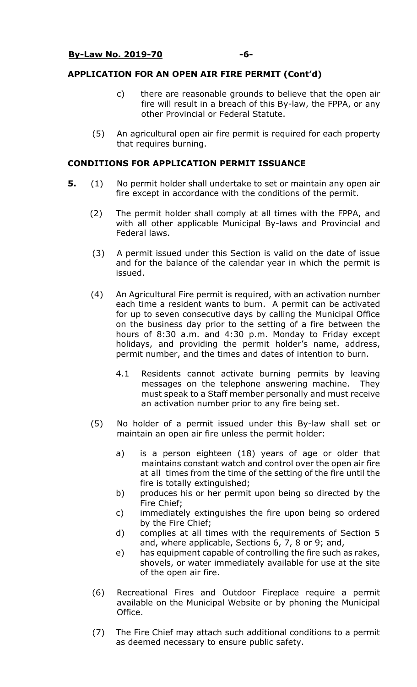## **APPLICATION FOR AN OPEN AIR FIRE PERMIT (Cont'd)**

- c) there are reasonable grounds to believe that the open air fire will result in a breach of this By-law, the FPPA, or any other Provincial or Federal Statute.
- (5) An agricultural open air fire permit is required for each property that requires burning.

## **CONDITIONS FOR APPLICATION PERMIT ISSUANCE**

- **5.** (1) No permit holder shall undertake to set or maintain any open air fire except in accordance with the conditions of the permit.
	- (2) The permit holder shall comply at all times with the FPPA, and with all other applicable Municipal By-laws and Provincial and Federal laws.
	- (3) A permit issued under this Section is valid on the date of issue and for the balance of the calendar year in which the permit is issued.
	- (4) An Agricultural Fire permit is required, with an activation number each time a resident wants to burn. A permit can be activated for up to seven consecutive days by calling the Municipal Office on the business day prior to the setting of a fire between the hours of 8:30 a.m. and 4:30 p.m. Monday to Friday except holidays, and providing the permit holder's name, address, permit number, and the times and dates of intention to burn.
		- 4.1 Residents cannot activate burning permits by leaving messages on the telephone answering machine. They must speak to a Staff member personally and must receive an activation number prior to any fire being set.
	- (5) No holder of a permit issued under this By-law shall set or maintain an open air fire unless the permit holder:
		- a) is a person eighteen (18) years of age or older that maintains constant watch and control over the open air fire at all times from the time of the setting of the fire until the fire is totally extinguished;
		- b) produces his or her permit upon being so directed by the Fire Chief;
		- c) immediately extinguishes the fire upon being so ordered by the Fire Chief;
		- d) complies at all times with the requirements of Section 5 and, where applicable, Sections 6, 7, 8 or 9; and,
		- e) has equipment capable of controlling the fire such as rakes, shovels, or water immediately available for use at the site of the open air fire.
	- (6) Recreational Fires and Outdoor Fireplace require a permit available on the Municipal Website or by phoning the Municipal Office.
	- (7) The Fire Chief may attach such additional conditions to a permit as deemed necessary to ensure public safety.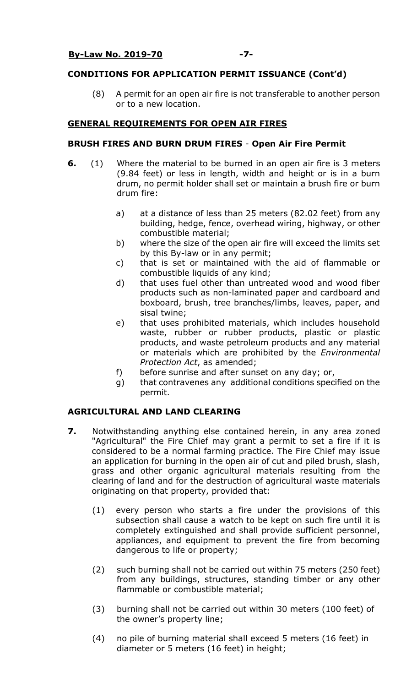## **CONDITIONS FOR APPLICATION PERMIT ISSUANCE (Cont'd)**

(8) A permit for an open air fire is not transferable to another person or to a new location.

## **GENERAL REQUIREMENTS FOR OPEN AIR FIRES**

## **BRUSH FIRES AND BURN DRUM FIRES** - **Open Air Fire Permit**

- **6.** (1) Where the material to be burned in an open air fire is 3 meters (9.84 feet) or less in length, width and height or is in a burn drum, no permit holder shall set or maintain a brush fire or burn drum fire:
	- a) at a distance of less than 25 meters (82.02 feet) from any building, hedge, fence, overhead wiring, highway, or other combustible material;
	- b) where the size of the open air fire will exceed the limits set by this By-law or in any permit;
	- c) that is set or maintained with the aid of flammable or combustible liquids of any kind;
	- d) that uses fuel other than untreated wood and wood fiber products such as non-laminated paper and cardboard and boxboard, brush, tree branches/limbs, leaves, paper, and sisal twine;
	- e) that uses prohibited materials, which includes household waste, rubber or rubber products, plastic or plastic products, and waste petroleum products and any material or materials which are prohibited by the *Environmental Protection Act*, as amended;
	- f) before sunrise and after sunset on any day; or,
	- g) that contravenes any additional conditions specified on the permit.

## **AGRICULTURAL AND LAND CLEARING**

- **7.** Notwithstanding anything else contained herein, in any area zoned "Agricultural" the Fire Chief may grant a permit to set a fire if it is considered to be a normal farming practice. The Fire Chief may issue an application for burning in the open air of cut and piled brush, slash, grass and other organic agricultural materials resulting from the clearing of land and for the destruction of agricultural waste materials originating on that property, provided that:
	- (1) every person who starts a fire under the provisions of this subsection shall cause a watch to be kept on such fire until it is completely extinguished and shall provide sufficient personnel, appliances, and equipment to prevent the fire from becoming dangerous to life or property;
	- (2) such burning shall not be carried out within 75 meters (250 feet) from any buildings, structures, standing timber or any other flammable or combustible material;
	- (3) burning shall not be carried out within 30 meters (100 feet) of the owner's property line;
	- (4) no pile of burning material shall exceed 5 meters (16 feet) in diameter or 5 meters (16 feet) in height;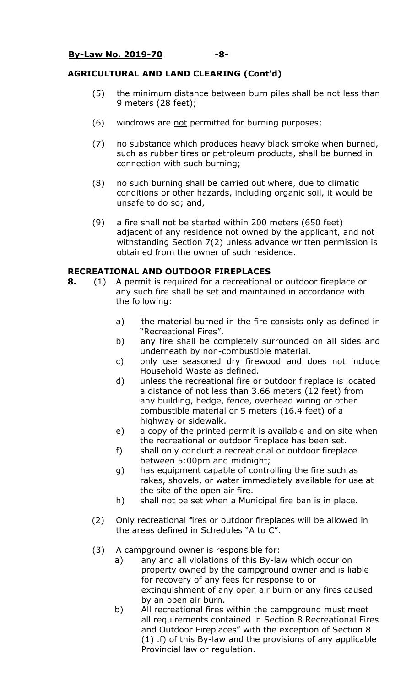## **AGRICULTURAL AND LAND CLEARING (Cont'd)**

- (5) the minimum distance between burn piles shall be not less than 9 meters (28 feet);
- (6) windrows are not permitted for burning purposes;
- (7) no substance which produces heavy black smoke when burned, such as rubber tires or petroleum products, shall be burned in connection with such burning;
- (8) no such burning shall be carried out where, due to climatic conditions or other hazards, including organic soil, it would be unsafe to do so; and,
- (9) a fire shall not be started within 200 meters (650 feet) adjacent of any residence not owned by the applicant, and not withstanding Section 7(2) unless advance written permission is obtained from the owner of such residence.

## **RECREATIONAL AND OUTDOOR FIREPLACES**

- **8.** (1) A permit is required for a recreational or outdoor fireplace or any such fire shall be set and maintained in accordance with the following:
	- a) the material burned in the fire consists only as defined in "Recreational Fires".
	- b) any fire shall be completely surrounded on all sides and underneath by non-combustible material.
	- c) only use seasoned dry firewood and does not include Household Waste as defined.
	- d) unless the recreational fire or outdoor fireplace is located a distance of not less than 3.66 meters (12 feet) from any building, hedge, fence, overhead wiring or other combustible material or 5 meters (16.4 feet) of a highway or sidewalk.
	- e) a copy of the printed permit is available and on site when the recreational or outdoor fireplace has been set.
	- f) shall only conduct a recreational or outdoor fireplace between 5:00pm and midnight;
	- g) has equipment capable of controlling the fire such as rakes, shovels, or water immediately available for use at the site of the open air fire.
	- h) shall not be set when a Municipal fire ban is in place.
	- (2) Only recreational fires or outdoor fireplaces will be allowed in the areas defined in Schedules "A to C".
	- (3) A campground owner is responsible for:
		- a) any and all violations of this By-law which occur on property owned by the campground owner and is liable for recovery of any fees for response to or extinguishment of any open air burn or any fires caused by an open air burn.
		- b) All recreational fires within the campground must meet all requirements contained in Section 8 Recreational Fires and Outdoor Fireplaces" with the exception of Section 8 (1) .f) of this By-law and the provisions of any applicable Provincial law or regulation.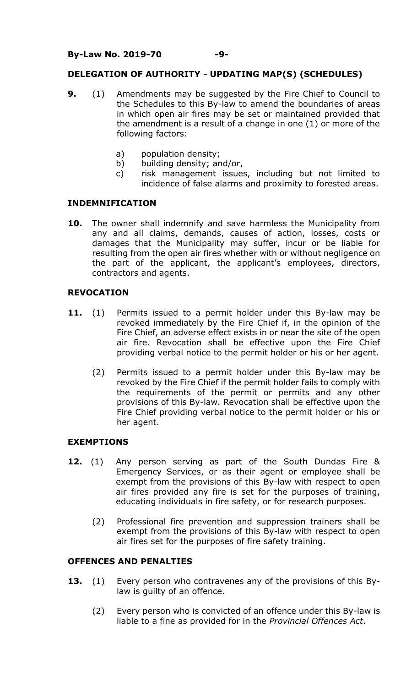## **DELEGATION OF AUTHORITY - UPDATING MAP(S) (SCHEDULES)**

- **9.** (1) Amendments may be suggested by the Fire Chief to Council to the Schedules to this By-law to amend the boundaries of areas in which open air fires may be set or maintained provided that the amendment is a result of a change in one (1) or more of the following factors:
	- a) population density;
	- b) building density; and/or,
	- c) risk management issues, including but not limited to incidence of false alarms and proximity to forested areas.

## **INDEMNIFICATION**

**10.** The owner shall indemnify and save harmless the Municipality from any and all claims, demands, causes of action, losses, costs or damages that the Municipality may suffer, incur or be liable for resulting from the open air fires whether with or without negligence on the part of the applicant, the applicant's employees, directors, contractors and agents.

## **REVOCATION**

- 11. (1) Permits issued to a permit holder under this By-law may be revoked immediately by the Fire Chief if, in the opinion of the Fire Chief, an adverse effect exists in or near the site of the open air fire. Revocation shall be effective upon the Fire Chief providing verbal notice to the permit holder or his or her agent.
	- (2) Permits issued to a permit holder under this By-law may be revoked by the Fire Chief if the permit holder fails to comply with the requirements of the permit or permits and any other provisions of this By-law. Revocation shall be effective upon the Fire Chief providing verbal notice to the permit holder or his or her agent.

## **EXEMPTIONS**

- **12.** (1) Any person serving as part of the South Dundas Fire & Emergency Services, or as their agent or employee shall be exempt from the provisions of this By-law with respect to open air fires provided any fire is set for the purposes of training, educating individuals in fire safety, or for research purposes.
	- (2) Professional fire prevention and suppression trainers shall be exempt from the provisions of this By-law with respect to open air fires set for the purposes of fire safety training.

## **OFFENCES AND PENALTIES**

- **13.** (1) Every person who contravenes any of the provisions of this Bylaw is guilty of an offence.
	- (2) Every person who is convicted of an offence under this By-law is liable to a fine as provided for in the *Provincial Offences Act*.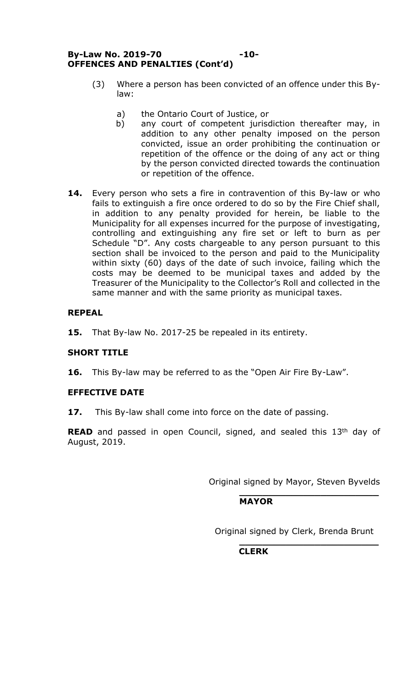## **By-Law No. 2019-70 -10- OFFENCES AND PENALTIES (Cont'd)**

- (3) Where a person has been convicted of an offence under this Bylaw:
	- a) the Ontario Court of Justice, or
	- b) any court of competent jurisdiction thereafter may, in addition to any other penalty imposed on the person convicted, issue an order prohibiting the continuation or repetition of the offence or the doing of any act or thing by the person convicted directed towards the continuation or repetition of the offence.
- **14.** Every person who sets a fire in contravention of this By-law or who fails to extinguish a fire once ordered to do so by the Fire Chief shall, in addition to any penalty provided for herein, be liable to the Municipality for all expenses incurred for the purpose of investigating, controlling and extinguishing any fire set or left to burn as per Schedule "D". Any costs chargeable to any person pursuant to this section shall be invoiced to the person and paid to the Municipality within sixty (60) days of the date of such invoice, failing which the costs may be deemed to be municipal taxes and added by the Treasurer of the Municipality to the Collector's Roll and collected in the same manner and with the same priority as municipal taxes.

# **REPEAL**

**15.** That By-law No. 2017-25 be repealed in its entirety.

# **SHORT TITLE**

**16.** This By-law may be referred to as the "Open Air Fire By-Law".

# **EFFECTIVE DATE**

**17.** This By-law shall come into force on the date of passing.

**READ** and passed in open Council, signed, and sealed this 13<sup>th</sup> day of August, 2019.

Original signed by Mayor, Steven Byvelds

**\_\_\_\_\_\_\_\_\_\_\_\_\_\_\_\_\_\_\_\_\_\_\_\_**

**\_\_\_\_\_\_\_\_\_\_\_\_\_\_\_\_\_\_\_\_\_\_\_\_**

# **MAYOR**

Original signed by Clerk, Brenda Brunt

 **CLERK**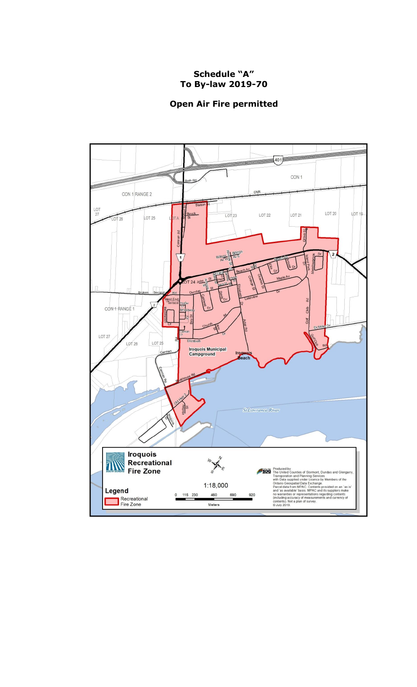# **Schedule "A" To By-law 2019-70**

## **Open Air Fire permitted**

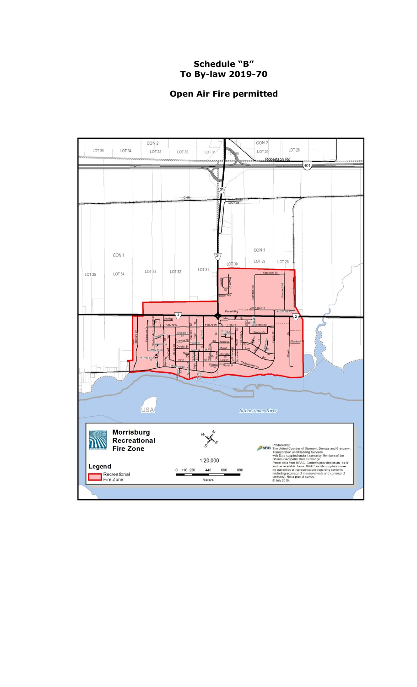# **Schedule "B" To By-law 2019-70**

# **Open Air Fire permitted**

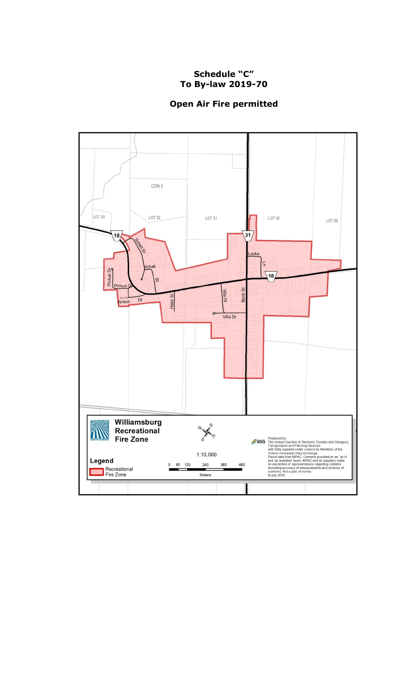# **Schedule "C" To By-law 2019-70**

# **Open Air Fire permitted**